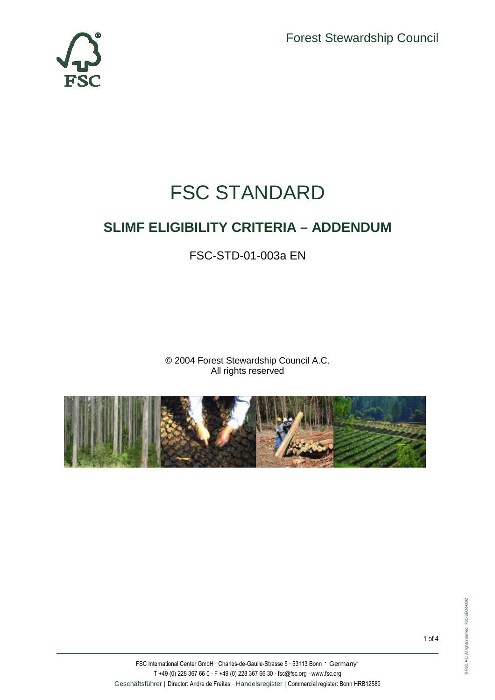Forest Stewardship Council



# FSC STANDARD

# **SLIMF ELIGIBILITY CRITERIA – ADDENDUM**

FSC-STD-01-003a EN

© 2004 Forest Stewardship Council A.C. All rights reserved

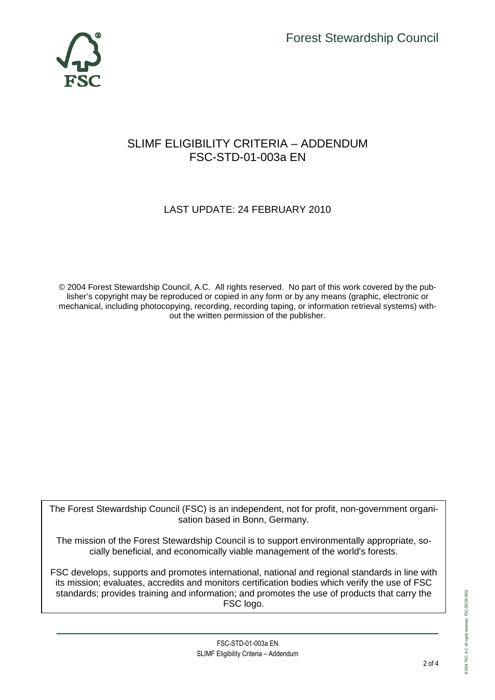

### SLIMF ELIGIBILITY CRITERIA – ADDENDUM FSC-STD-01-003a EN

## LAST UPDATE: 24 FEBRUARY 2010

© 2004 Forest Stewardship Council, A.C. All rights reserved. No part of this work covered by the publisher's copyright may be reproduced or copied in any form or by any means (graphic, electronic or mechanical, including photocopying, recording, recording taping, or information retrieval systems) without the written permission of the publisher.

The Forest Stewardship Council (FSC) is an independent, not for profit, non-government organisation based in Bonn, Germany.

The mission of the Forest Stewardship Council is to support environmentally appropriate, socially beneficial, and economically viable management of the world's forests.

FSC develops, supports and promotes international, national and regional standards in line with its mission; evaluates, accredits and monitors certification bodies which verify the use of FSC standards; provides training and information; and promotes the use of products that carry the FSC logo.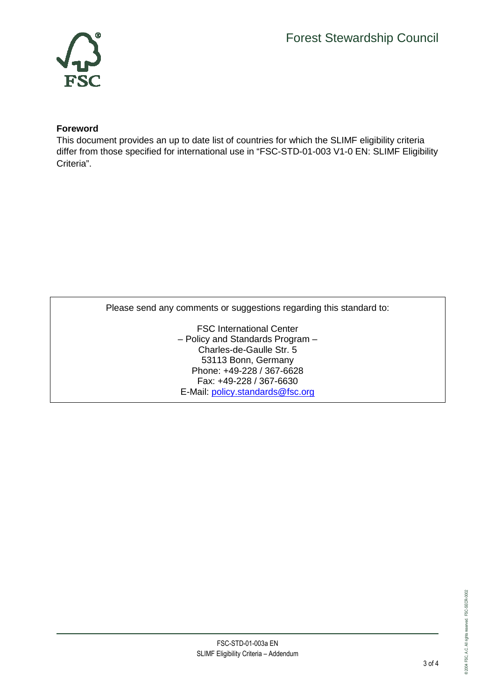

#### **Foreword**

This document provides an up to date list of countries for which the SLIMF eligibility criteria differ from those specified for international use in "FSC-STD-01-003 V1-0 EN: SLIMF Eligibility Criteria".

Please send any comments or suggestions regarding this standard to:

FSC International Center – Policy and Standards Program – Charles-de-Gaulle Str. 5 53113 Bonn, Germany Phone: +49-228 / 367-6628 Fax: +49-228 / 367-6630 E-Mail: policy.standards@fsc.org